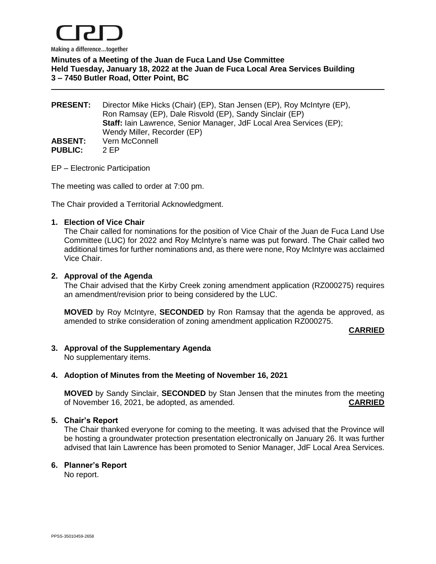

**Minutes of a Meeting of the Juan de Fuca Land Use Committee Held Tuesday, January 18, 2022 at the Juan de Fuca Local Area Services Building 3 – 7450 Butler Road, Otter Point, BC**

**PRESENT:** Director Mike Hicks (Chair) (EP), Stan Jensen (EP), Roy McIntyre (EP), Ron Ramsay (EP), Dale Risvold (EP), Sandy Sinclair (EP) **Staff:** Iain Lawrence, Senior Manager, JdF Local Area Services (EP); Wendy Miller, Recorder (EP) ABSENT: Vern McConnell **PUBLIC:** 2 EP

EP – Electronic Participation

The meeting was called to order at 7:00 pm.

The Chair provided a Territorial Acknowledgment.

## **1. Election of Vice Chair**

The Chair called for nominations for the position of Vice Chair of the Juan de Fuca Land Use Committee (LUC) for 2022 and Roy McIntyre's name was put forward. The Chair called two additional times for further nominations and, as there were none, Roy McIntyre was acclaimed Vice Chair.

## **2. Approval of the Agenda**

The Chair advised that the Kirby Creek zoning amendment application (RZ000275) requires an amendment/revision prior to being considered by the LUC.

**MOVED** by Roy McIntyre, **SECONDED** by Ron Ramsay that the agenda be approved, as amended to strike consideration of zoning amendment application RZ000275.

#### **CARRIED**

#### **3. Approval of the Supplementary Agenda**

No supplementary items.

## **4. Adoption of Minutes from the Meeting of November 16, 2021**

**MOVED** by Sandy Sinclair, **SECONDED** by Stan Jensen that the minutes from the meeting of November 16, 2021, be adopted, as amended. **CARRIED**

## **5. Chair's Report**

The Chair thanked everyone for coming to the meeting. It was advised that the Province will be hosting a groundwater protection presentation electronically on January 26. It was further advised that Iain Lawrence has been promoted to Senior Manager, JdF Local Area Services.

#### **6. Planner's Report**

No report.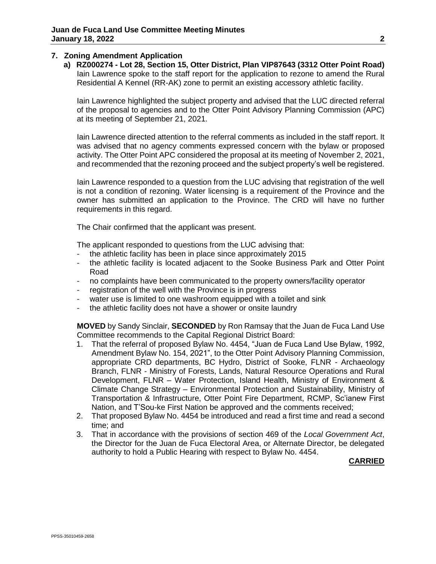# **7. Zoning Amendment Application**

**a) RZ000274 - Lot 28, Section 15, Otter District, Plan VIP87643 (3312 Otter Point Road)** Iain Lawrence spoke to the staff report for the application to rezone to amend the Rural Residential A Kennel (RR-AK) zone to permit an existing accessory athletic facility.

Iain Lawrence highlighted the subject property and advised that the LUC directed referral of the proposal to agencies and to the Otter Point Advisory Planning Commission (APC) at its meeting of September 21, 2021.

Iain Lawrence directed attention to the referral comments as included in the staff report. It was advised that no agency comments expressed concern with the bylaw or proposed activity. The Otter Point APC considered the proposal at its meeting of November 2, 2021, and recommended that the rezoning proceed and the subject property's well be registered.

Iain Lawrence responded to a question from the LUC advising that registration of the well is not a condition of rezoning. Water licensing is a requirement of the Province and the owner has submitted an application to the Province. The CRD will have no further requirements in this regard.

The Chair confirmed that the applicant was present.

The applicant responded to questions from the LUC advising that:

- the athletic facility has been in place since approximately 2015
- the athletic facility is located adjacent to the Sooke Business Park and Otter Point Road
- no complaints have been communicated to the property owners/facility operator
- registration of the well with the Province is in progress
- water use is limited to one washroom equipped with a toilet and sink
- the athletic facility does not have a shower or onsite laundry

**MOVED** by Sandy Sinclair, **SECONDED** by Ron Ramsay that the Juan de Fuca Land Use Committee recommends to the Capital Regional District Board:

- 1. That the referral of proposed Bylaw No. 4454, "Juan de Fuca Land Use Bylaw, 1992, Amendment Bylaw No. 154, 2021", to the Otter Point Advisory Planning Commission, appropriate CRD departments, BC Hydro, District of Sooke, FLNR - Archaeology Branch, FLNR - Ministry of Forests, Lands, Natural Resource Operations and Rural Development, FLNR – Water Protection, Island Health, Ministry of Environment & Climate Change Strategy – Environmental Protection and Sustainability, Ministry of Transportation & Infrastructure, Otter Point Fire Department, RCMP, Sc'ianew First Nation, and T'Sou-ke First Nation be approved and the comments received;
- 2. That proposed Bylaw No. 4454 be introduced and read a first time and read a second time; and
- 3. That in accordance with the provisions of section 469 of the *Local Government Act*, the Director for the Juan de Fuca Electoral Area, or Alternate Director, be delegated authority to hold a Public Hearing with respect to Bylaw No. 4454.

# **CARRIED**